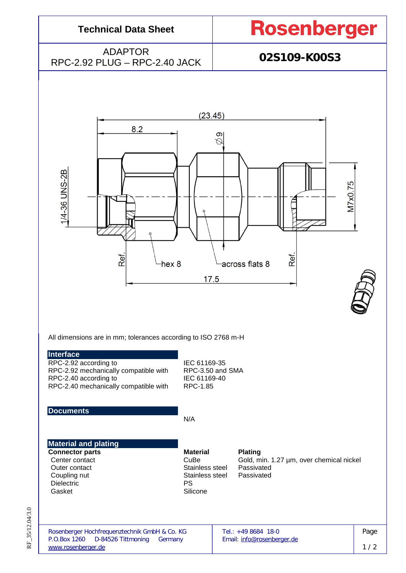| <b>Technical Data Sheet</b>              | <b>Rosenberger</b> |
|------------------------------------------|--------------------|
| ADAPTOR<br>RPC-2.92 PLUG - RPC-2.40 JACK | 02S109-K00S3       |
|                                          |                    |



All dimensions are in mm; tolerances according to ISO 2768 m-H

RPC-2.92 according to IEC 61169-35 RPC-2.92 mechanically compatible with RPC-3.50 and SMA<br>RPC-2.40 according to **IEC 61169-40** RPC-2.40 according to<br>RPC-2.40 mechanically compatible with RPC-1.85 RPC-2.40 mechanically compatible with

**Documents**

N/A

### **Material and plating**

**Connector parts Material Plating**<br> **Center contact CuBe** Gold, m Outer contact **Stainless** steel Passivated<br>
Coupling nut<br>
Coupling nut Coupling nut Stainless Stainless Stainless Stainless Stainless Stainless Stainless Stainless Stainless Stainless Stainless Stainless Stainless Stainless Stainless Stainless Stainless Stainless Stainless Stainless Stainless Dielectric<br>Gasket

Silicone

CuBe Gold, min. 1.27 µm, over chemical nickel<br>Stainless steel Passivated

RF\_35/12.04/3.0 RF\_35/12.04/3.0

| Rosenberger Hochfrequenztechnik GmbH & Co. KG | Tel.: $+498684$ 18-0       |     |
|-----------------------------------------------|----------------------------|-----|
| P.O.Box 1260<br>D-84526 Tittmoning Germany    | Email: info@rosenberger.de |     |
| www.rosenberger.de                            |                            | 1/2 |